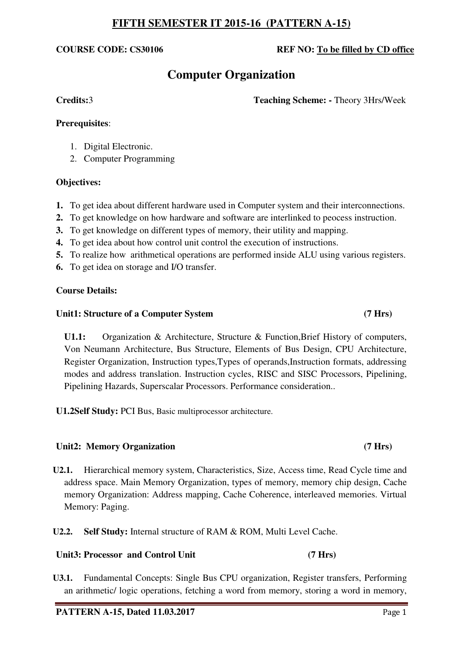# **COURSE CODE: CS30106 REF NO: To be filled by CD office**

# **Computer Organization**

**Credits:**3 **Teaching Scheme: -** Theory 3Hrs/Week

## **Prerequisites**:

- 1. Digital Electronic.
- 2. Computer Programming

## **Objectives:**

- **1.** To get idea about different hardware used in Computer system and their interconnections.
- **2.** To get knowledge on how hardware and software are interlinked to peocess instruction.
- **3.** To get knowledge on different types of memory, their utility and mapping.
- **4.** To get idea about how control unit control the execution of instructions.
- **5.** To realize how arithmetical operations are performed inside ALU using various registers.
- **6.** To get idea on storage and I/O transfer.

# **Course Details:**

## **Unit1: Structure of a Computer System (7 Hrs)**

**U1.1:** Organization & Architecture, Structure & Function,Brief History of computers, Von Neumann Architecture, Bus Structure, Elements of Bus Design, CPU Architecture, Register Organization, Instruction types,Types of operands,Instruction formats, addressing modes and address translation. Instruction cycles, RISC and SISC Processors, Pipelining, Pipelining Hazards, Superscalar Processors. Performance consideration..

**U1.2Self Study:** PCI Bus, Basic multiprocessor architecture.

# Unit2: Memory Organization (7 Hrs)

- **U2.1.** Hierarchical memory system, Characteristics, Size, Access time, Read Cycle time and address space. Main Memory Organization, types of memory, memory chip design, Cache memory Organization: Address mapping, Cache Coherence, interleaved memories. Virtual Memory: Paging.
- **U2.2. Self Study:** Internal structure of RAM & ROM, Multi Level Cache.

# Unit3: Processor and Control Unit (7 Hrs)

**U3.1.** Fundamental Concepts: Single Bus CPU organization, Register transfers, Performing an arithmetic/ logic operations, fetching a word from memory, storing a word in memory,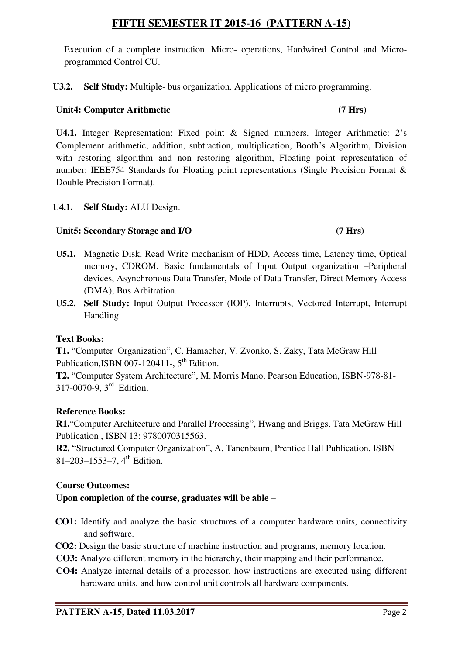Execution of a complete instruction. Micro- operations, Hardwired Control and Microprogrammed Control CU.

**U3.2. Self Study:** Multiple- bus organization. Applications of micro programming.

# **Unit4: Computer Arithmetic (7 Hrs)**

**U4.1.** Integer Representation: Fixed point & Signed numbers. Integer Arithmetic: 2's Complement arithmetic, addition, subtraction, multiplication, Booth's Algorithm, Division with restoring algorithm and non restoring algorithm, Floating point representation of number: IEEE754 Standards for Floating point representations (Single Precision Format & Double Precision Format).

# **U4.1. Self Study:** ALU Design.

# **Unit5: Secondary Storage and I/O (7 Hrs)**

# **U5.1.** Magnetic Disk, Read Write mechanism of HDD, Access time, Latency time, Optical memory, CDROM. Basic fundamentals of Input Output organization –Peripheral devices, Asynchronous Data Transfer, Mode of Data Transfer, Direct Memory Access (DMA), Bus Arbitration.

**U5.2. Self Study:** Input Output Processor (IOP), Interrupts, Vectored Interrupt, Interrupt Handling

# **Text Books:**

**T1.** "Computer Organization", C. Hamacher, V. Zvonko, S. Zaky, Tata McGraw Hill Publication, ISBN 007-120411-, 5<sup>th</sup> Edition.

**T2.** "Computer System Architecture", M. Morris Mano, Pearson Education, ISBN-978-81- 317-0070-9, 3rd Edition.

# **Reference Books:**

**R1.**"Computer Architecture and Parallel Processing", Hwang and Briggs, Tata McGraw Hill Publication , ISBN 13: 9780070315563.

**R2.** "Structured Computer Organization", A. Tanenbaum, Prentice Hall Publication, ISBN 81–203–1553–7,  $4^{\text{th}}$  Edition.

# **Course Outcomes:**

# **Upon completion of the course, graduates will be able –**

- **CO1:** Identify and analyze the basic structures of a computer hardware units, connectivity and software.
- **CO2:** Design the basic structure of machine instruction and programs, memory location.
- **CO3:** Analyze different memory in the hierarchy, their mapping and their performance.
- **CO4:** Analyze internal details of a processor, how instructions are executed using different hardware units, and how control unit controls all hardware components.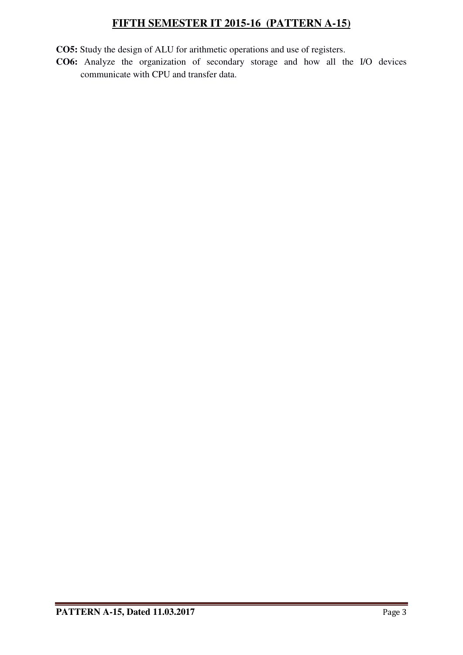**CO5:** Study the design of ALU for arithmetic operations and use of registers.

**CO6:** Analyze the organization of secondary storage and how all the I/O devices communicate with CPU and transfer data.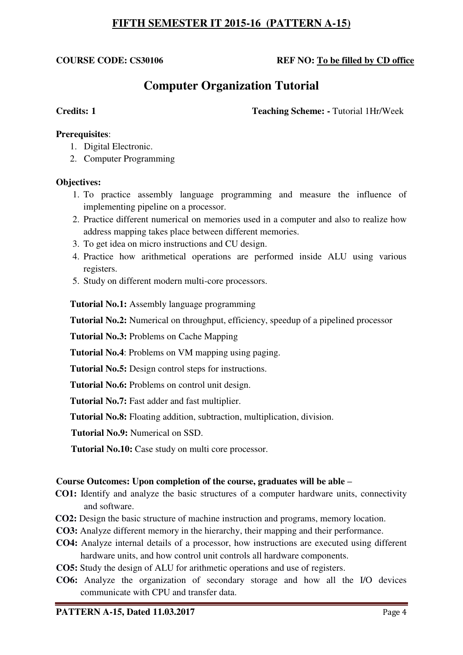## **COURSE CODE: CS30106 REF NO: To be filled by CD office**

# **Computer Organization Tutorial**

**Credits: 1 Teaching Scheme: -** Tutorial 1Hr/Week

### **Prerequisites**:

- 1. Digital Electronic.
- 2. Computer Programming

#### **Objectives:**

- 1. To practice assembly language programming and measure the influence of implementing pipeline on a processor.
- 2. Practice different numerical on memories used in a computer and also to realize how address mapping takes place between different memories.
- 3. To get idea on micro instructions and CU design.
- 4. Practice how arithmetical operations are performed inside ALU using various registers.
- 5. Study on different modern multi-core processors.

**Tutorial No.1:** Assembly language programming

**Tutorial No.2:** Numerical on throughput, efficiency, speedup of a pipelined processor

**Tutorial No.3:** Problems on Cache Mapping

 **Tutorial No.4**: Problems on VM mapping using paging.

**Tutorial No.5:** Design control steps for instructions.

**Tutorial No.6:** Problems on control unit design.

**Tutorial No.7:** Fast adder and fast multiplier.

**Tutorial No.8:** Floating addition, subtraction, multiplication, division.

**Tutorial No.9:** Numerical on SSD.

**Tutorial No.10:** Case study on multi core processor.

#### **Course Outcomes: Upon completion of the course, graduates will be able –**

- **CO1:** Identify and analyze the basic structures of a computer hardware units, connectivity and software.
- **CO2:** Design the basic structure of machine instruction and programs, memory location.
- **CO3:** Analyze different memory in the hierarchy, their mapping and their performance.
- **CO4:** Analyze internal details of a processor, how instructions are executed using different hardware units, and how control unit controls all hardware components.
- **CO5:** Study the design of ALU for arithmetic operations and use of registers.
- **CO6:** Analyze the organization of secondary storage and how all the I/O devices communicate with CPU and transfer data.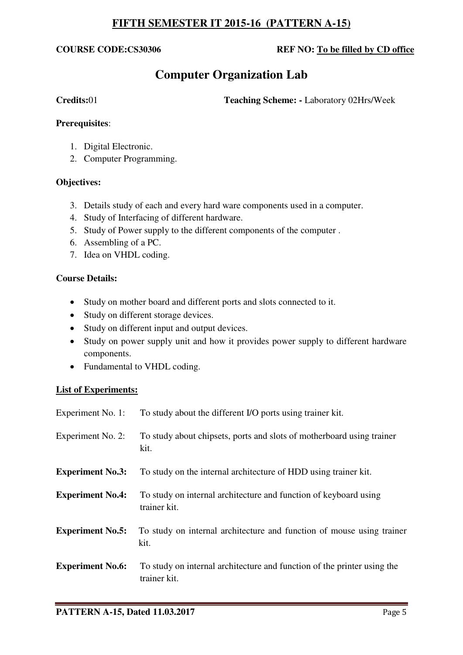## **COURSE CODE:CS30306 REF NO: To be filled by CD office**

# **Computer Organization Lab**

**Credits:**01 **Teaching Scheme: -** Laboratory 02Hrs/Week

### **Prerequisites**:

- 1. Digital Electronic.
- 2. Computer Programming.

### **Objectives:**

- 3. Details study of each and every hard ware components used in a computer.
- 4. Study of Interfacing of different hardware.
- 5. Study of Power supply to the different components of the computer .
- 6. Assembling of a PC.
- 7. Idea on VHDL coding.

### **Course Details:**

- Study on mother board and different ports and slots connected to it.
- Study on different storage devices.
- Study on different input and output devices.
- Study on power supply unit and how it provides power supply to different hardware components.
- Fundamental to VHDL coding.

### **List of Experiments:**

| Experiment No. 1:       | To study about the different I/O ports using trainer kit.                               |
|-------------------------|-----------------------------------------------------------------------------------------|
| Experiment No. 2:       | To study about chipsets, ports and slots of motherboard using trainer<br>kit.           |
| <b>Experiment No.3:</b> | To study on the internal architecture of HDD using trainer kit.                         |
| <b>Experiment No.4:</b> | To study on internal architecture and function of keyboard using<br>trainer kit.        |
| <b>Experiment No.5:</b> | To study on internal architecture and function of mouse using trainer<br>kit.           |
| <b>Experiment No.6:</b> | To study on internal architecture and function of the printer using the<br>trainer kit. |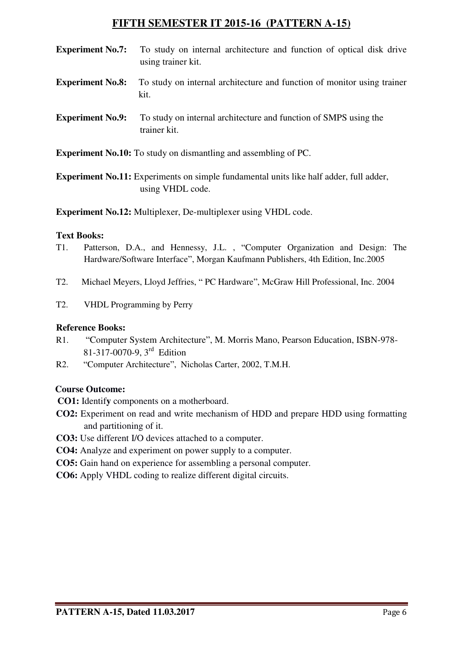- **Experiment No.7:** To study on internal architecture and function of optical disk drive using trainer kit.
- **Experiment No.8:** To study on internal architecture and function of monitor using trainer kit.
- **Experiment No.9:** To study on internal architecture and function of SMPS using the trainer kit.

**Experiment No.10:** To study on dismantling and assembling of PC.

**Experiment No.11:** Experiments on simple fundamental units like half adder, full adder, using VHDL code.

**Experiment No.12:** Multiplexer, De-multiplexer using VHDL code.

# **Text Books:**

- T1. Patterson, D.A., and Hennessy, J.L. , "Computer Organization and Design: The Hardware/Software Interface", Morgan Kaufmann Publishers, 4th Edition, Inc.2005
- T2. Michael Meyers, Lloyd Jeffries, " PC Hardware", McGraw Hill Professional, Inc. 2004
- T2. VHDL Programming by Perry

## **Reference Books:**

- R1. "Computer System Architecture", M. Morris Mano, Pearson Education, ISBN-978- 81-317-0070-9, 3rd Edition
- R2. "Computer Architecture", Nicholas Carter, 2002, T.M.H.

## **Course Outcome:**

- **CO1:** Identif**y** components on a motherboard.
- **CO2:** Experiment on read and write mechanism of HDD and prepare HDD using formatting and partitioning of it.
- **CO3:** Use different I/O devices attached to a computer.
- **CO4:** Analyze and experiment on power supply to a computer.
- **CO5:** Gain hand on experience for assembling a personal computer.
- **CO6:** Apply VHDL coding to realize different digital circuits.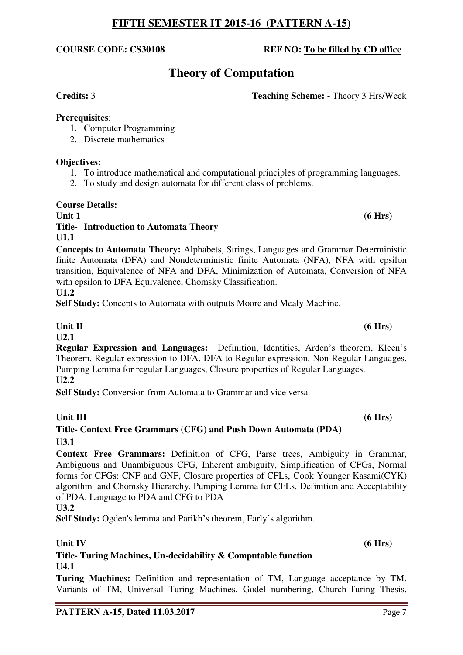# **Theory of Computation**

**Credits:** 3 **Teaching Scheme: -** Theory 3 Hrs/Week

# **Prerequisites**:

- 1. Computer Programming
- 2. Discrete mathematics

# **Objectives:**

- 1. To introduce mathematical and computational principles of programming languages.
- 2. To study and design automata for different class of problems.

# **Course Details:**

## Unit 1 (6 Hrs) **Title- Introduction to Automata Theory U1.1**

**Concepts to Automata Theory:** Alphabets, Strings, Languages and Grammar Deterministic finite Automata (DFA) and Nondeterministic finite Automata (NFA), NFA with epsilon transition, Equivalence of NFA and DFA, Minimization of Automata, Conversion of NFA with epsilon to DFA Equivalence, Chomsky Classification. **U1.2** 

**Self Study:** Concepts to Automata with outputs Moore and Mealy Machine.

# Unit II (6 Hrs)

# **U2.1**

**Regular Expression and Languages:** Definition, Identities, Arden's theorem, Kleen's Theorem, Regular expression to DFA, DFA to Regular expression, Non Regular Languages, Pumping Lemma for regular Languages, Closure properties of Regular Languages. **U2.2** 

**Self Study:** Conversion from Automata to Grammar and vice versa

# Unit III (6 Hrs)

# **Title- Context Free Grammars (CFG) and Push Down Automata (PDA) U3.1**

**Context Free Grammars:** Definition of CFG, Parse trees, Ambiguity in Grammar, Ambiguous and Unambiguous CFG, Inherent ambiguity, Simplification of CFGs, Normal forms for CFGs: CNF and GNF, Closure properties of CFLs, Cook Younger Kasami(CYK) algorithm and Chomsky Hierarchy. Pumping Lemma for CFLs. Definition and Acceptability of PDA, Language to PDA and CFG to PDA

# **U3.2**

Self Study: Ogden's lemma and Parikh's theorem, Early's algorithm.

# Unit IV (6 Hrs)

**Title- Turing Machines, Un-decidability & Computable function U4.1** 

**Turing Machines:** Definition and representation of TM, Language acceptance by TM. Variants of TM, Universal Turing Machines, Godel numbering, Church-Turing Thesis,

**COURSE CODE: CS30108 REF NO: To be filled by CD office**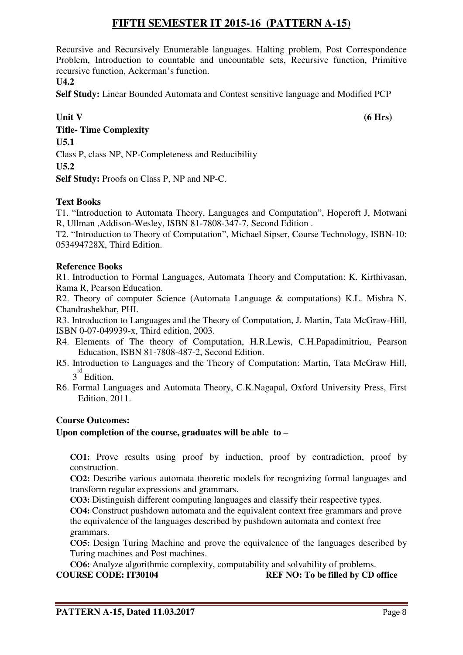Recursive and Recursively Enumerable languages. Halting problem, Post Correspondence Problem, Introduction to countable and uncountable sets, Recursive function, Primitive recursive function, Ackerman's function.

**U4.2** 

**Self Study:** Linear Bounded Automata and Contest sensitive language and Modified PCP

**Unit V** (6 Hrs) **Title- Time Complexity U5.1**  Class P, class NP, NP-Completeness and Reducibility **U5.2** 

**Self Study:** Proofs on Class P, NP and NP-C.

# **Text Books**

T1. "Introduction to Automata Theory, Languages and Computation", Hopcroft J, Motwani R, Ullman ,Addison-Wesley, ISBN 81-7808-347-7, Second Edition .

T2. "Introduction to Theory of Computation", Michael Sipser, Course Technology, ISBN-10: 053494728X, Third Edition.

# **Reference Books**

R1. Introduction to Formal Languages, Automata Theory and Computation: K. Kirthivasan, Rama R, Pearson Education.

R2. Theory of computer Science (Automata Language & computations) K.L. Mishra N. Chandrashekhar, PHI.

R3. Introduction to Languages and the Theory of Computation, J. Martin, Tata McGraw-Hill, ISBN 0-07-049939-x, Third edition, 2003.

- R4. Elements of The theory of Computation, H.R.Lewis, C.H.Papadimitriou, Pearson Education, ISBN 81-7808-487-2, Second Edition.
- R5. Introduction to Languages and the Theory of Computation: Martin, Tata McGraw Hill, 3<sup>rd</sup> Edition.
- R6. Formal Languages and Automata Theory, C.K.Nagapal, Oxford University Press, First Edition, 2011.

# **Course Outcomes:**

# **Upon completion of the course, graduates will be able to –**

**CO1:** Prove results using proof by induction, proof by contradiction, proof by construction.

**CO2:** Describe various automata theoretic models for recognizing formal languages and transform regular expressions and grammars.

**CO3:** Distinguish different computing languages and classify their respective types.

**CO4:** Construct pushdown automata and the equivalent context free grammars and prove the equivalence of the languages described by pushdown automata and context free grammars.

**CO5:** Design Turing Machine and prove the equivalence of the languages described by Turing machines and Post machines.

**CO6:** Analyze algorithmic complexity, computability and solvability of problems.<br> **COURSE CODE:** IT30104 REF NO: To be filled by CD **REF NO: To be filled by CD office**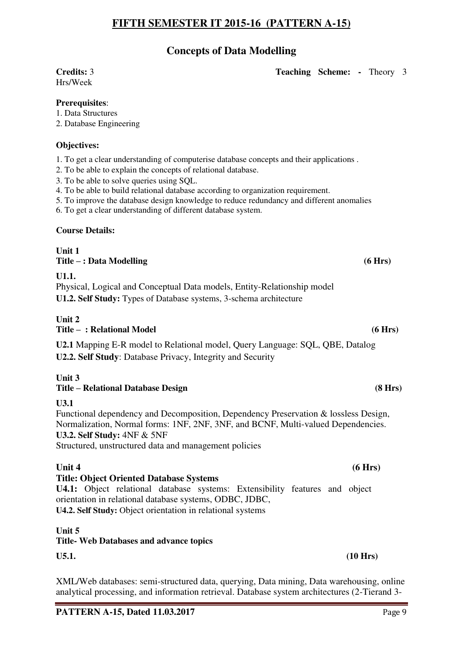# **Concepts of Data Modelling**

# Hrs/Week

**Credits:** 3 **Teaching Scheme: -** Theory 3

## **Prerequisites**:

1. Data Structures

2. Database Engineering

# **Objectives:**

1. To get a clear understanding of computerise database concepts and their applications .

- 2. To be able to explain the concepts of relational database.
- 3. To be able to solve queries using SQL.
- 4. To be able to build relational database according to organization requirement.
- 5. To improve the database design knowledge to reduce redundancy and different anomalies
- 6. To get a clear understanding of different database system.

## **Course Details:**

**Unit 1 Title – : Data Modelling (6 Hrs) U1.1.** 

Physical, Logical and Conceptual Data models, Entity-Relationship model **U1.2. Self Study:** Types of Database systems, 3-schema architecture

#### **Unit 2 Title – : Relational Model (6 Hrs)**

**U2.1** Mapping E-R model to Relational model, Query Language: SQL, QBE, Datalog **U2.2. Self Study**: Database Privacy, Integrity and Security

**Unit 3** 

# **Title – Relational Database Design (8 Hrs)**

### **U3.1**

Functional dependency and Decomposition, Dependency Preservation & lossless Design, Normalization, Normal forms: 1NF, 2NF, 3NF, and BCNF, Multi-valued Dependencies. **U3.2. Self Study:** 4NF & 5NF

Structured, unstructured data and management policies

# **Unit 4** (6 Hrs)

### **Title: Object Oriented Database Systems**

**U4.1:** Object relational database systems: Extensibility features and object orientation in relational database systems, ODBC, JDBC, **U4.2. Self Study:** Object orientation in relational systems

### **Unit 5**

# **Title- Web Databases and advance topics**

**U5.1. (10 Hrs)** 

XML/Web databases: semi-structured data, querying, Data mining, Data warehousing, online analytical processing, and information retrieval. Database system architectures (2-Tierand 3-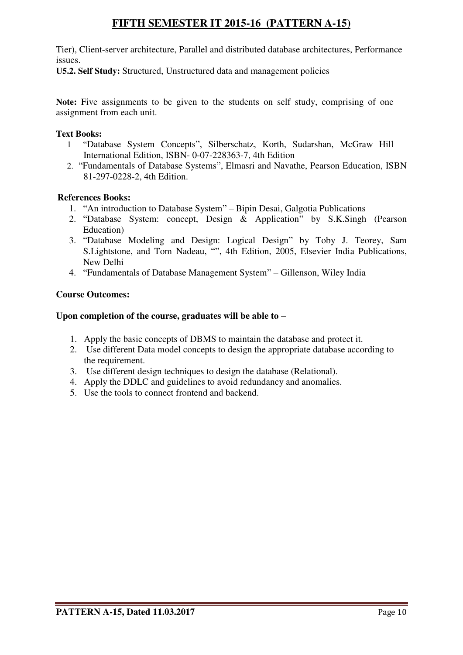Tier), Client-server architecture, Parallel and distributed database architectures, Performance issues.

**U5.2. Self Study:** Structured, Unstructured data and management policies

**Note:** Five assignments to be given to the students on self study, comprising of one assignment from each unit.

# **Text Books:**

- 1 "Database System Concepts", Silberschatz, Korth, Sudarshan, McGraw Hill International Edition, ISBN- 0-07-228363-7, 4th Edition
- 2. "Fundamentals of Database Systems", Elmasri and Navathe, Pearson Education, ISBN 81-297-0228-2, 4th Edition.

## **References Books:**

- 1. "An introduction to Database System" Bipin Desai, Galgotia Publications
- 2. "Database System: concept, Design & Application" by S.K.Singh (Pearson Education)
- 3. "Database Modeling and Design: Logical Design" by Toby J. Teorey, Sam S.Lightstone, and Tom Nadeau, "", 4th Edition, 2005, Elsevier India Publications, New Delhi
- 4. "Fundamentals of Database Management System" Gillenson, Wiley India

# **Course Outcomes:**

## **Upon completion of the course, graduates will be able to –**

- 1. Apply the basic concepts of DBMS to maintain the database and protect it.
- 2. Use different Data model concepts to design the appropriate database according to the requirement.
- 3. Use different design techniques to design the database (Relational).
- 4. Apply the DDLC and guidelines to avoid redundancy and anomalies.
- 5. Use the tools to connect frontend and backend.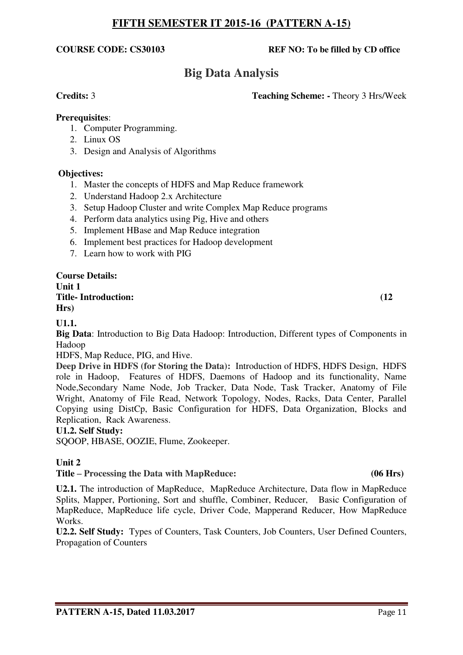## **COURSE CODE: CS30103 REF NO: To be filled by CD office**

# **Big Data Analysis**

### **Credits:** 3 **Teaching Scheme: -** Theory 3 Hrs/Week

### **Prerequisites**:

- 1. Computer Programming.
- 2. Linux OS
- 3. Design and Analysis of Algorithms

## **Objectives:**

- 1. Master the concepts of HDFS and Map Reduce framework
- 2. Understand Hadoop 2.x Architecture
- 3. Setup Hadoop Cluster and write Complex Map Reduce programs
- 4. Perform data analytics using Pig, Hive and others
- 5. Implement HBase and Map Reduce integration
- 6. Implement best practices for Hadoop development
- 7. Learn how to work with PIG

#### **Course Details: Unit 1 Title- Introduction: (12 Hrs)**

# **U1.1.**

**Big Data**: Introduction to Big Data Hadoop: Introduction, Different types of Components in Hadoop

HDFS, Map Reduce, PIG, and Hive.

**Deep Drive in HDFS (for Storing the Data):** Introduction of HDFS, HDFS Design, HDFS role in Hadoop, Features of HDFS, Daemons of Hadoop and its functionality, Name Node,Secondary Name Node, Job Tracker, Data Node, Task Tracker, Anatomy of File Wright, Anatomy of File Read, Network Topology, Nodes, Racks, Data Center, Parallel Copying using DistCp, Basic Configuration for HDFS, Data Organization, Blocks and Replication, Rack Awareness.

### **U1.2. Self Study:**

SQOOP, HBASE, OOZIE, Flume, Zookeeper.

# **Unit 2**

# **Title – Processing the Data with MapReduce: (06 Hrs)**

**U2.1.** The introduction of MapReduce, MapReduce Architecture, Data flow in MapReduce Splits, Mapper, Portioning, Sort and shuffle, Combiner, Reducer, Basic Configuration of MapReduce, MapReduce life cycle, Driver Code, Mapperand Reducer, How MapReduce Works.

**U2.2. Self Study:** Types of Counters, Task Counters, Job Counters, User Defined Counters, Propagation of Counters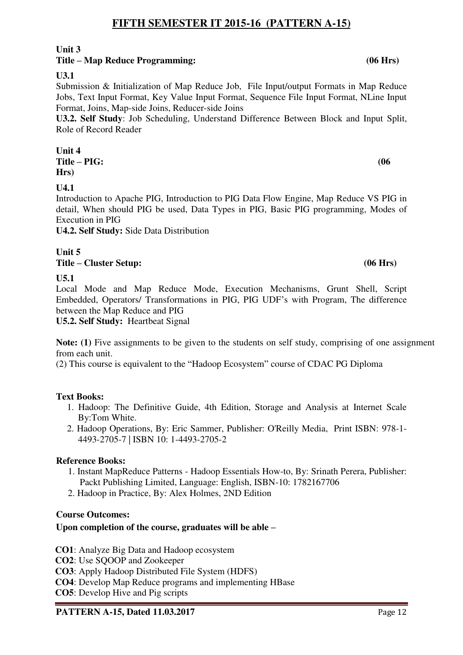# **Unit 3**

# **Title – Map Reduce Programming: (06 Hrs)**

**U3.1**

Submission & Initialization of Map Reduce Job, File Input/output Formats in Map Reduce Jobs, Text Input Format, Key Value Input Format, Sequence File Input Format, NLine Input Format, Joins, Map-side Joins, Reducer-side Joins

**U3.2. Self Study**: Job Scheduling, Understand Difference Between Block and Input Split, Role of Record Reader

**Unit 4 Title – PIG: (06 Hrs)** 

**U4.1**

Introduction to Apache PIG, Introduction to PIG Data Flow Engine, Map Reduce VS PIG in detail, When should PIG be used, Data Types in PIG, Basic PIG programming, Modes of Execution in PIG

**U4.2. Self Study:** Side Data Distribution

**Unit 5 Title – Cluster Setup: (06 Hrs)** 

**U5.1**

Local Mode and Map Reduce Mode, Execution Mechanisms, Grunt Shell, Script Embedded, Operators/ Transformations in PIG, PIG UDF's with Program, The difference between the Map Reduce and PIG

**U5.2. Self Study:** Heartbeat Signal

**Note: (1)** Five assignments to be given to the students on self study, comprising of one assignment from each unit.

(2) This course is equivalent to the "Hadoop Ecosystem" course of CDAC PG Diploma

# **Text Books:**

- 1. Hadoop: The Definitive Guide, 4th Edition, Storage and Analysis at Internet Scale By:Tom White.
- 2. Hadoop Operations, By: Eric Sammer, Publisher: O'Reilly Media, Print ISBN: 978-1- 4493-2705-7 | ISBN 10: 1-4493-2705-2

# **Reference Books:**

- 1. Instant MapReduce Patterns Hadoop Essentials How-to, By: Srinath Perera, Publisher: Packt Publishing Limited, Language: English, ISBN-10: 1782167706
- 2. Hadoop in Practice, By: Alex Holmes, 2ND Edition

# **Course Outcomes:**

# **Upon completion of the course, graduates will be able –**

- **CO1**: Analyze Big Data and Hadoop ecosystem
- **CO2**: Use SOOOP and Zookeeper
- **CO3**: Apply Hadoop Distributed File System (HDFS)
- **CO4**: Develop Map Reduce programs and implementing HBase

**CO5**: Develop Hive and Pig scripts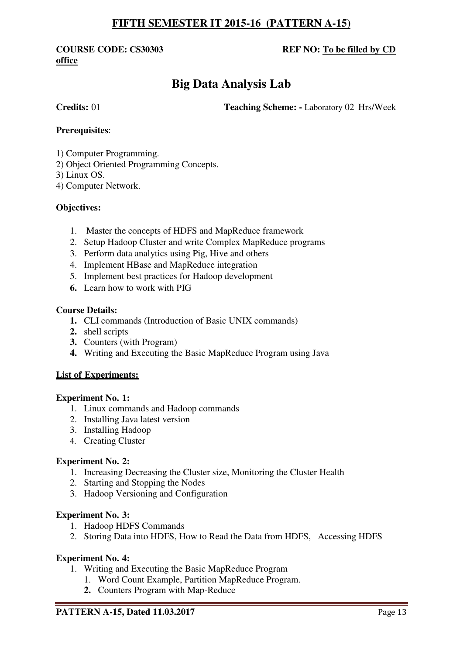# **office**

# **COURSE CODE: CS30303 REF NO: To be filled by CD**

# **Big Data Analysis Lab**

**Credits:** 01 **Teaching Scheme:** - Laboratory 02 Hrs/Week

# **Prerequisites**:

1) Computer Programming.

2) Object Oriented Programming Concepts.

3) Linux OS.

4) Computer Network.

# **Objectives:**

- 1. Master the concepts of HDFS and MapReduce framework
- 2. Setup Hadoop Cluster and write Complex MapReduce programs
- 3. Perform data analytics using Pig, Hive and others
- 4. Implement HBase and MapReduce integration
- 5. Implement best practices for Hadoop development
- **6.** Learn how to work with PIG

### **Course Details:**

- **1.** CLI commands (Introduction of Basic UNIX commands)
- **2.** shell scripts
- **3.** Counters (with Program)
- **4.** Writing and Executing the Basic MapReduce Program using Java

### **List of Experiments:**

### **Experiment No. 1:**

- 1. Linux commands and Hadoop commands
- 2. Installing Java latest version
- 3. Installing Hadoop
- 4. Creating Cluster

### **Experiment No. 2:**

- 1. Increasing Decreasing the Cluster size, Monitoring the Cluster Health
- 2. Starting and Stopping the Nodes
- 3. Hadoop Versioning and Configuration

### **Experiment No. 3:**

- 1. Hadoop HDFS Commands
- 2. Storing Data into HDFS, How to Read the Data from HDFS, Accessing HDFS

### **Experiment No. 4:**

- 1. Writing and Executing the Basic MapReduce Program
	- 1. Word Count Example, Partition MapReduce Program.
	- **2.** Counters Program with Map-Reduce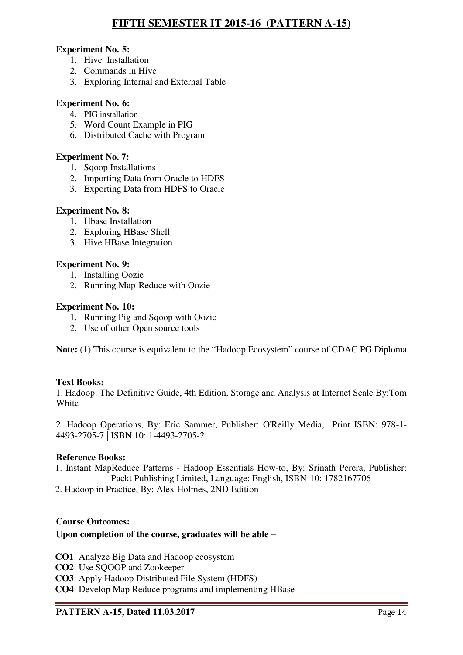# **Experiment No. 5:**

- 1. Hive Installation
- 2. Commands in Hive
- 3. Exploring Internal and External Table

## **Experiment No. 6:**

- 4. PIG installation
- 5. Word Count Example in PIG
- 6. Distributed Cache with Program

### **Experiment No. 7:**

- 1. Sqoop Installations
- 2. Importing Data from Oracle to HDFS
- 3. Exporting Data from HDFS to Oracle

### **Experiment No. 8:**

- 1. Hbase Installation
- 2. Exploring HBase Shell
- 3. Hive HBase Integration

## **Experiment No. 9:**

- 1. Installing Oozie
- 2. Running Map-Reduce with Oozie

### **Experiment No. 10:**

- 1. Running Pig and Sqoop with Oozie
- 2. Use of other Open source tools

**Note:** (1) This course is equivalent to the "Hadoop Ecosystem" course of CDAC PG Diploma

### **Text Books:**

1. Hadoop: The Definitive Guide, 4th Edition, Storage and Analysis at Internet Scale By:Tom White

2. Hadoop Operations, By: Eric Sammer, Publisher: O'Reilly Media, Print ISBN: 978-1- 4493-2705-7 | ISBN 10: 1-4493-2705-2

### **Reference Books:**

1. Instant MapReduce Patterns - Hadoop Essentials How-to, By: Srinath Perera, Publisher: Packt Publishing Limited, Language: English, ISBN-10: 1782167706

2. Hadoop in Practice, By: Alex Holmes, 2ND Edition

### **Course Outcomes:**

# **Upon completion of the course, graduates will be able –**

**CO1**: Analyze Big Data and Hadoop ecosystem **CO2**: Use SOOOP and Zookeeper **CO3**: Apply Hadoop Distributed File System (HDFS) **CO4**: Develop Map Reduce programs and implementing HBase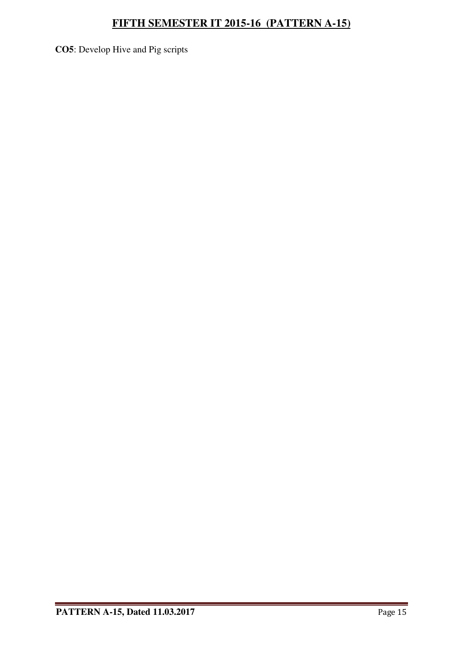**CO5**: Develop Hive and Pig scripts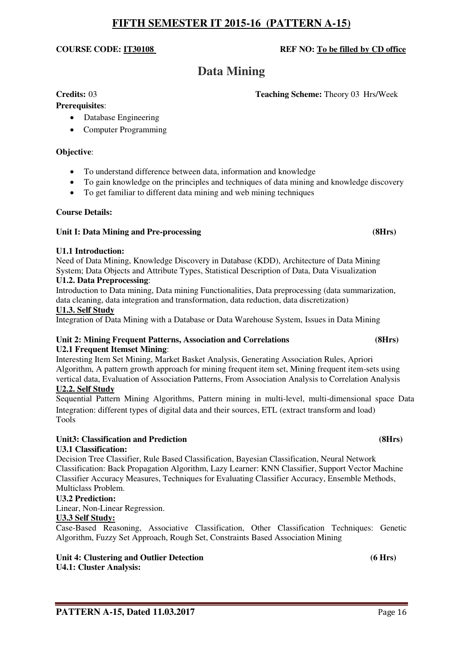# **PATTERN A-15. Dated 11.03.2017** Page 16

# **FIFTH SEMESTER IT 2015-16 (PATTERN A-15)**

## **COURSE CODE: IT30108 REF NO: To be filled by CD office**

# **Data Mining**

#### **Credits:** 03 **Teaching Scheme:** Theory 03 Hrs/Week

# **Prerequisites**:

- - Database Engineering
	- Computer Programming

#### **Objective**:

- To understand difference between data, information and knowledge
- To gain knowledge on the principles and techniques of data mining and knowledge discovery
- To get familiar to different data mining and web mining techniques

#### **Course Details:**

#### Unit I: Data Mining and Pre-processing *CHrs CHrs CHrs CHrs CHrs*

#### **U1.1 Introduction:**

Need of Data Mining, Knowledge Discovery in Database (KDD), Architecture of Data Mining System; Data Objects and Attribute Types, Statistical Description of Data, Data Visualization **U1.2. Data Preprocessing**:

Introduction to Data mining, Data mining Functionalities, Data preprocessing (data summarization, data cleaning, data integration and transformation, data reduction, data discretization)

#### **U1.3. Self Study**

Integration of Data Mining with a Database or Data Warehouse System, Issues in Data Mining

#### **Unit 2: Mining Frequent Patterns, Association and Correlations (8Hrs) U2.1 Frequent Itemset Mining**:

Interesting Item Set Mining, Market Basket Analysis, Generating Association Rules, Apriori Algorithm, A pattern growth approach for mining frequent item set, Mining frequent item-sets using vertical data, Evaluation of Association Patterns, From Association Analysis to Correlation Analysis

# **U2.2. Self Study**

Sequential Pattern Mining Algorithms, Pattern mining in multi-level, multi-dimensional space Data Integration: different types of digital data and their sources, ETL (extract transform and load) Tools

# Unit3: Classification and Prediction **(8Hrs) (8Hrs)**  $(8Hrs)$

### **U3.1 Classification:**

Decision Tree Classifier, Rule Based Classification, Bayesian Classification, Neural Network Classification: Back Propagation Algorithm, Lazy Learner: KNN Classifier, Support Vector Machine Classifier Accuracy Measures, Techniques for Evaluating Classifier Accuracy, Ensemble Methods, Multiclass Problem.

#### **U3.2 Prediction:**

Linear, Non-Linear Regression.

#### **U3.3 Self Study:**

Case-Based Reasoning, Associative Classification, Other Classification Techniques: Genetic Algorithm, Fuzzy Set Approach, Rough Set, Constraints Based Association Mining

#### Unit 4: Clustering and Outlier Detection **6 and 2011 Contact 10 Contact 10 Contact 10 Contact 10 Contact 10 Contact 10 Contact 10 Contact 10 Contact 10 Contact 10 Contact 10 Contact 10 Contact 10 U4.1: Cluster Analysis:**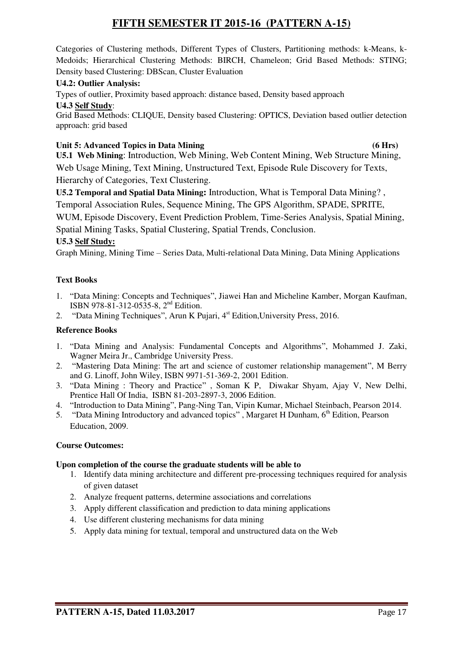Categories of Clustering methods, Different Types of Clusters, Partitioning methods: k-Means, k-Medoids; Hierarchical Clustering Methods: BIRCH, Chameleon; Grid Based Methods: STING; Density based Clustering: DBScan, Cluster Evaluation

## **U4.2: Outlier Analysis:**

Types of outlier, Proximity based approach: distance based, Density based approach

**U4.3 Self Study**:

Grid Based Methods: CLIQUE, Density based Clustering: OPTICS, Deviation based outlier detection approach: grid based

# **Unit 5: Advanced Topics in Data Mining (6 Hrs)**

**U5.1 Web Mining**: Introduction, Web Mining, Web Content Mining, Web Structure Mining, Web Usage Mining, Text Mining, Unstructured Text, Episode Rule Discovery for Texts, Hierarchy of Categories, Text Clustering.

**U5.2 Temporal and Spatial Data Mining:** Introduction, What is Temporal Data Mining? , Temporal Association Rules, Sequence Mining, The GPS Algorithm, SPADE, SPRITE, WUM, Episode Discovery, Event Prediction Problem, Time-Series Analysis, Spatial Mining, Spatial Mining Tasks, Spatial Clustering, Spatial Trends, Conclusion.

## **U5.3 Self Study:**

Graph Mining, Mining Time – Series Data, Multi-relational Data Mining, Data Mining Applications

## **Text Books**

- 1. "Data Mining: Concepts and Techniques", Jiawei Han and Micheline Kamber, Morgan Kaufman, ISBN 978-81-312-0535-8, 2nd Edition.
- 2. "Data Mining Techniques", Arun K Pujari, 4<sup>st</sup> Edition, University Press, 2016.

## **Reference Books**

- 1. "Data Mining and Analysis: Fundamental Concepts and Algorithms", Mohammed J. Zaki, Wagner Meira Jr., Cambridge University Press.
- 2. "Mastering Data Mining: The art and science of customer relationship management", M Berry and G. Linoff, John Wiley, ISBN 9971-51-369-2, 2001 Edition.
- 3. "Data Mining : Theory and Practice" , Soman K P, Diwakar Shyam, Ajay V, New Delhi, Prentice Hall Of India, ISBN 81-203-2897-3, 2006 Edition.
- 4. "Introduction to Data Mining", Pang-Ning Tan, Vipin Kumar, Michael Steinbach, Pearson 2014.
- 5. "Data Mining Introductory and advanced topics", Margaret H Dunham, 6<sup>th</sup> Edition, Pearson Education, 2009.

### **Course Outcomes:**

### **Upon completion of the course the graduate students will be able to**

- 1. Identify data mining architecture and different pre-processing techniques required for analysis of given dataset
- 2. Analyze frequent patterns, determine associations and correlations
- 3. Apply different classification and prediction to data mining applications
- 4. Use different clustering mechanisms for data mining
- 5. Apply data mining for textual, temporal and unstructured data on the Web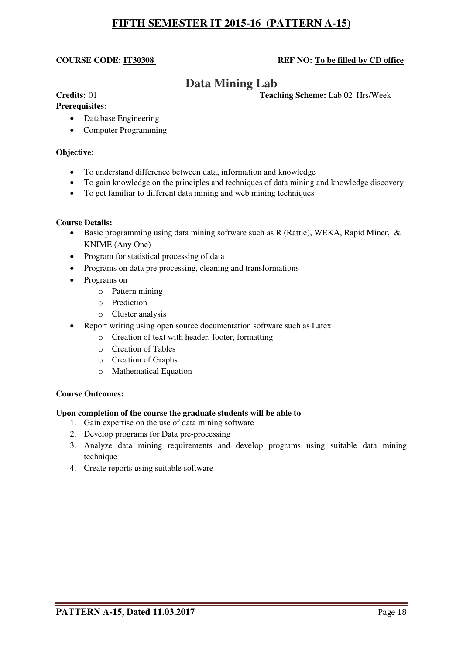### **COURSE CODE: IT30308** REF NO: To be filled by CD office

# **Data Mining Lab**

**Credits:** 01 **Teaching Scheme:** Lab 02 Hrs/Week

# **Prerequisites**:

- - Database Engineering
	- Computer Programming

#### **Objective**:

- To understand difference between data, information and knowledge
- To gain knowledge on the principles and techniques of data mining and knowledge discovery
- To get familiar to different data mining and web mining techniques

#### **Course Details:**

- **Basic programming using data mining software such as R (Rattle), WEKA, Rapid Miner, &** KNIME (Any One)
- Program for statistical processing of data
- Programs on data pre processing, cleaning and transformations
- Programs on
	- o Pattern mining
	- o Prediction
	- o Cluster analysis
- Report writing using open source documentation software such as Latex
	- o Creation of text with header, footer, formatting
		- o Creation of Tables
		- o Creation of Graphs
		- o Mathematical Equation

#### **Course Outcomes:**

#### **Upon completion of the course the graduate students will be able to**

- 1. Gain expertise on the use of data mining software
- 2. Develop programs for Data pre-processing
- 3. Analyze data mining requirements and develop programs using suitable data mining technique
- 4. Create reports using suitable software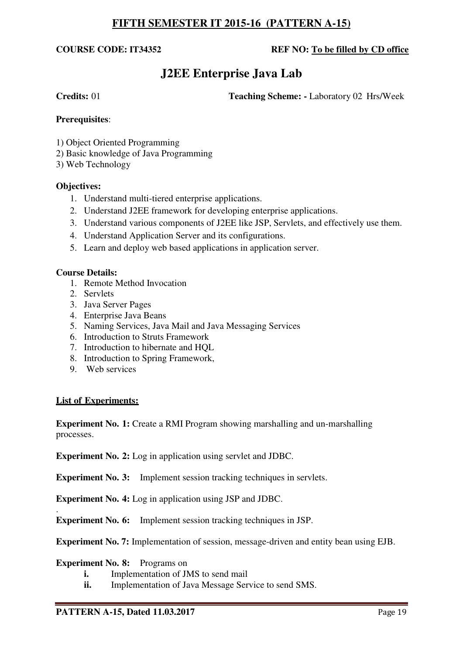## **COURSE CODE: IT34352 REF NO: To be filled by CD office**

# **J2EE Enterprise Java Lab**

**Credits:** 01 **Teaching Scheme:** - Laboratory 02 Hrs/Week

## **Prerequisites**:

- 1) Object Oriented Programming
- 2) Basic knowledge of Java Programming
- 3) Web Technology

## **Objectives:**

- 1. Understand multi-tiered enterprise applications.
- 2. Understand J2EE framework for developing enterprise applications.
- 3. Understand various components of J2EE like JSP, Servlets, and effectively use them.
- 4. Understand Application Server and its configurations.
- 5. Learn and deploy web based applications in application server.

### **Course Details:**

- 1. Remote Method Invocation
- 2. Servlets
- 3. Java Server Pages
- 4. Enterprise Java Beans
- 5. Naming Services, Java Mail and Java Messaging Services
- 6. Introduction to Struts Framework
- 7. Introduction to hibernate and HQL
- 8. Introduction to Spring Framework,
- 9. Web services

### **List of Experiments:**

**Experiment No. 1:** Create a RMI Program showing marshalling and un-marshalling processes.

**Experiment No. 2:** Log in application using servlet and JDBC.

**Experiment No. 3:** Implement session tracking techniques in servlets.

**Experiment No. 4:** Log in application using JSP and JDBC.

. **Experiment No. 6:** Implement session tracking techniques in JSP.

**Experiment No. 7:** Implementation of session, message-driven and entity bean using EJB.

### **Experiment No. 8:** Programs on

- **i.** Implementation of JMS to send mail
- **ii.** Implementation of Java Message Service to send SMS.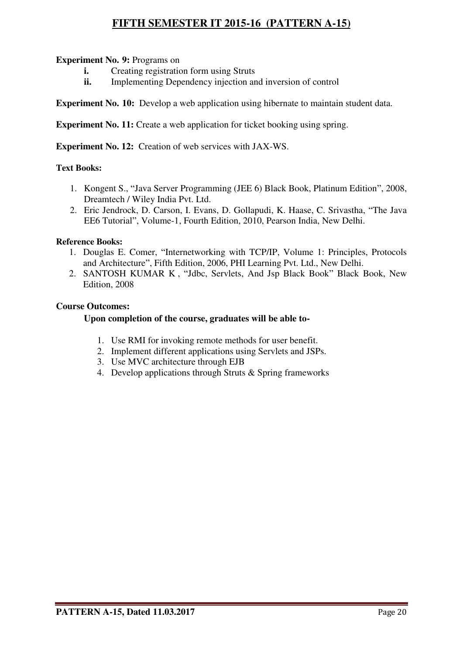# **Experiment No. 9: Programs on**

- **i.** Creating registration form using Struts<br>**ii.** Implementing Dependency injection and
- **Implementing Dependency injection and inversion of control**

**Experiment No. 10:** Develop a web application using hibernate to maintain student data.

**Experiment No. 11:** Create a web application for ticket booking using spring.

**Experiment No. 12:** Creation of web services with JAX-WS.

# **Text Books:**

- 1. Kongent S., "Java Server Programming (JEE 6) Black Book, Platinum Edition", 2008, Dreamtech / Wiley India Pvt. Ltd.
- 2. Eric Jendrock, D. Carson, I. Evans, D. Gollapudi, K. Haase, C. Srivastha, "The Java EE6 Tutorial", Volume-1, Fourth Edition, 2010, Pearson India, New Delhi.

### **Reference Books:**

- 1. Douglas E. Comer, "Internetworking with TCP/IP, Volume 1: Principles, Protocols and Architecture", Fifth Edition, 2006, PHI Learning Pvt. Ltd., New Delhi.
- 2. SANTOSH KUMAR K , "Jdbc, Servlets, And Jsp Black Book" Black Book, New Edition, 2008

### **Course Outcomes:**

## **Upon completion of the course, graduates will be able to-**

- 1. Use RMI for invoking remote methods for user benefit.
- 2. Implement different applications using Servlets and JSPs.
- 3. Use MVC architecture through EJB
- 4. Develop applications through Struts & Spring frameworks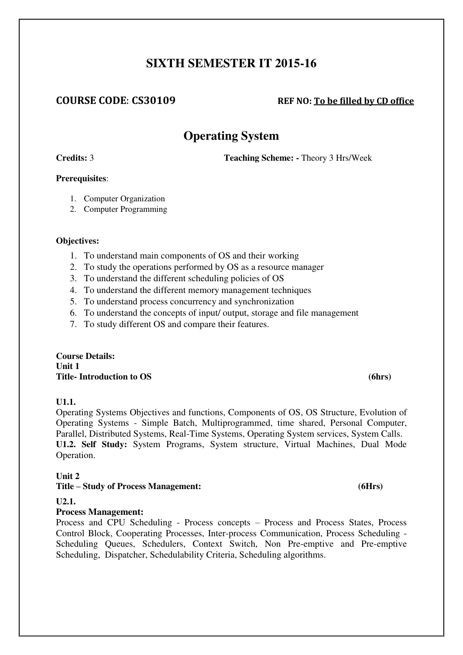# **SIXTH SEMESTER IT 2015-16**

# **COURSE CODE**: **CS30109 REF NO: To be filled by CD office**

# **Operating System**

**Credits:** 3 **Teaching Scheme: -** Theory 3 Hrs/Week

## **Prerequisites**:

- 1. Computer Organization
- 2. Computer Programming

### **Objectives:**

- 1. To understand main components of OS and their working
- 2. To study the operations performed by OS as a resource manager
- 3. To understand the different scheduling policies of OS
- 4. To understand the different memory management techniques
- 5. To understand process concurrency and synchronization
- 6. To understand the concepts of input/ output, storage and file management
- 7. To study different OS and compare their features.

### **Course Details: Unit 1**  Title- Introduction to OS (6hrs)

# **U1.1.**

Operating Systems Objectives and functions, Components of OS, OS Structure, Evolution of Operating Systems - Simple Batch, Multiprogrammed, time shared, Personal Computer, Parallel, Distributed Systems, Real-Time Systems, Operating System services, System Calls. **U1.2. Self Study:** System Programs, System structure, Virtual Machines, Dual Mode Operation.

### **Unit 2**

# **Title – Study of Process Management: (6Hrs)**

### **U2.1.**

# **Process Management:**

Process and CPU Scheduling - Process concepts – Process and Process States, Process Control Block, Cooperating Processes, Inter-process Communication, Process Scheduling - Scheduling Queues, Schedulers, Context Switch, Non Pre-emptive and Pre-emptive Scheduling, Dispatcher, Schedulability Criteria, Scheduling algorithms.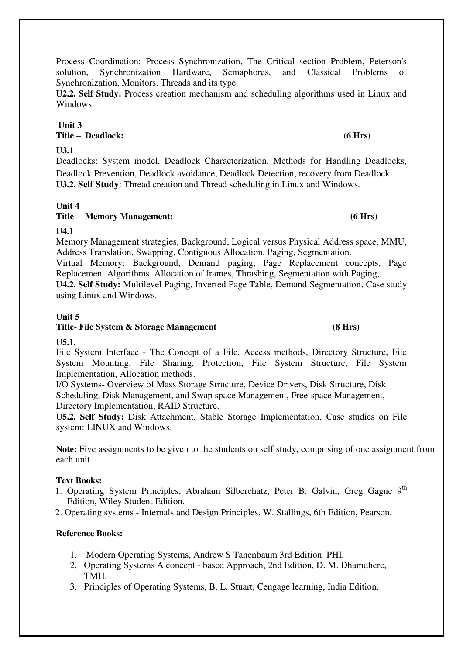## **Unit 3 Title – Deadlock: (6 Hrs)**

# **U3.1**

Windows.

Deadlocks: System model, Deadlock Characterization, Methods for Handling Deadlocks, Deadlock Prevention, Deadlock avoidance, Deadlock Detection, recovery from Deadlock. **U3.2. Self Study**: Thread creation and Thread scheduling in Linux and Windows.

Process Coordination: Process Synchronization, The Critical section Problem, Peterson's

# **Unit 4**

**Title – Memory Management: (6 Hrs)** 

# **U4.1**

Memory Management strategies, Background, Logical versus Physical Address space, MMU, Address Translation, Swapping, Contiguous Allocation, Paging, Segmentation. Virtual Memory: Background, Demand paging, Page Replacement concepts, Page Replacement Algorithms. Allocation of frames, Thrashing, Segmentation with Paging, **U4.2. Self Study:** Multilevel Paging, Inverted Page Table, Demand Segmentation, Case study using Linux and Windows.

### **Unit 5**  Title- File System & Storage Management (8 Hrs)

# **U5.1.**

File System Interface - The Concept of a File, Access methods, Directory Structure, File System Mounting, File Sharing, Protection, File System Structure, File System Implementation, Allocation methods.

I/O Systems- Overview of Mass Storage Structure, Device Drivers, Disk Structure, Disk Scheduling, Disk Management, and Swap space Management, Free-space Management, Directory Implementation, RAID Structure.

**U5.2. Self Study:** Disk Attachment, Stable Storage Implementation, Case studies on File system: LINUX and Windows.

**Note:** Five assignments to be given to the students on self study, comprising of one assignment from each unit.

# **Text Books:**

- 1. Operating System Principles, Abraham Silberchatz, Peter B. Galvin, Greg Gagne  $9<sup>th</sup>$ Edition, Wiley Student Edition.
- 2. Operating systems Internals and Design Principles, W. Stallings, 6th Edition, Pearson.

### **Reference Books:**

- 1. Modern Operating Systems, Andrew S Tanenbaum 3rd Edition PHI.
- 2. Operating Systems A concept based Approach, 2nd Edition, D. M. Dhamdhere, TMH.
- 3. Principles of Operating Systems, B. L. Stuart, Cengage learning, India Edition.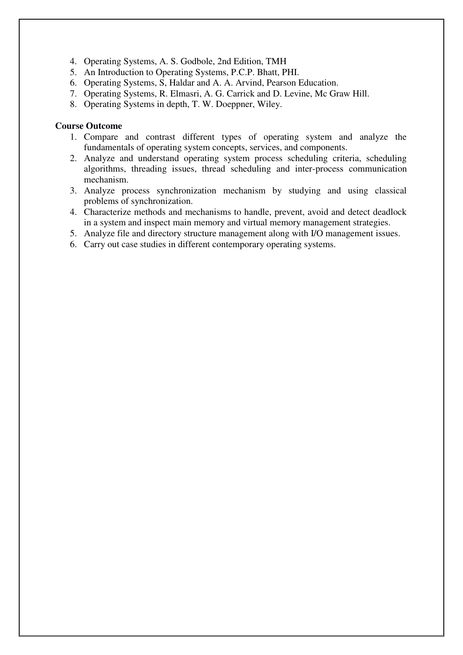- 4. Operating Systems, A. S. Godbole, 2nd Edition, TMH
- 5. An Introduction to Operating Systems, P.C.P. Bhatt, PHI.
- 6. Operating Systems, S, Haldar and A. A. Arvind, Pearson Education.
- 7. Operating Systems, R. Elmasri, A. G. Carrick and D. Levine, Mc Graw Hill.
- 8. Operating Systems in depth, T. W. Doeppner, Wiley.

#### **Course Outcome**

- 1. Compare and contrast different types of operating system and analyze the fundamentals of operating system concepts, services, and components.
- 2. Analyze and understand operating system process scheduling criteria, scheduling algorithms, threading issues, thread scheduling and inter-process communication mechanism.
- 3. Analyze process synchronization mechanism by studying and using classical problems of synchronization.
- 4. Characterize methods and mechanisms to handle, prevent, avoid and detect deadlock in a system and inspect main memory and virtual memory management strategies.
- 5. Analyze file and directory structure management along with I/O management issues.
- 6. Carry out case studies in different contemporary operating systems.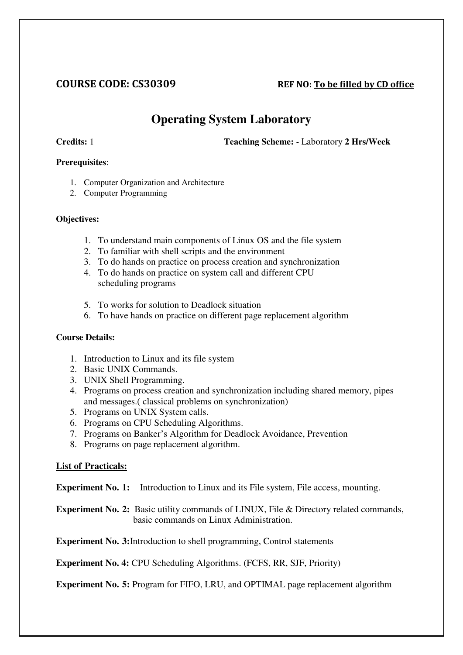# **COURSE CODE: CS30309 REF NO: To be filled by CD office**

# **Operating System Laboratory**

**Credits:** 1 **Teaching Scheme: -** Laboratory **2 Hrs/Week** 

## **Prerequisites**:

- 1. Computer Organization and Architecture
- 2. Computer Programming

## **Objectives:**

- 1. To understand main components of Linux OS and the file system
- 2. To familiar with shell scripts and the environment
- 3. To do hands on practice on process creation and synchronization
- 4. To do hands on practice on system call and different CPU scheduling programs
- 5. To works for solution to Deadlock situation
- 6. To have hands on practice on different page replacement algorithm

## **Course Details:**

- 1. Introduction to Linux and its file system
- 2. Basic UNIX Commands.
- 3. UNIX Shell Programming.
- 4. Programs on process creation and synchronization including shared memory, pipes and messages.( classical problems on synchronization)
- 5. Programs on UNIX System calls.
- 6. Programs on CPU Scheduling Algorithms.
- 7. Programs on Banker's Algorithm for Deadlock Avoidance, Prevention
- 8. Programs on page replacement algorithm.

# **List of Practicals:**

**Experiment No. 1:** Introduction to Linux and its File system, File access, mounting.

**Experiment No. 2:** Basic utility commands of LINUX, File & Directory related commands, basic commands on Linux Administration.

**Experiment No. 3:**Introduction to shell programming, Control statements

**Experiment No. 4:** CPU Scheduling Algorithms. (FCFS, RR, SJF, Priority)

**Experiment No. 5:** Program for FIFO, LRU, and OPTIMAL page replacement algorithm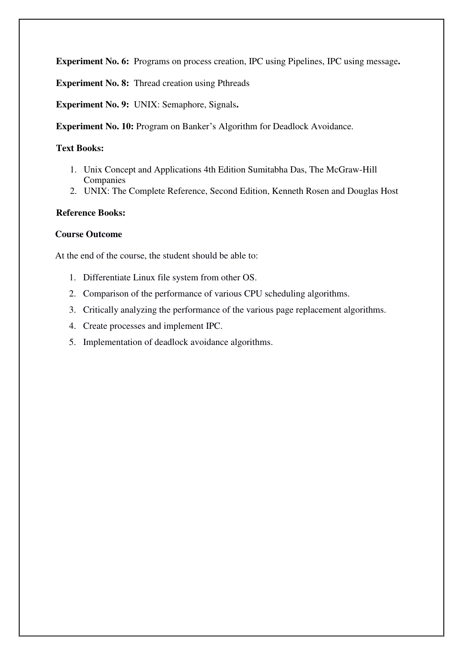**Experiment No. 6:** Programs on process creation, IPC using Pipelines, IPC using message**.** 

**Experiment No. 8:** Thread creation using Pthreads

**Experiment No. 9:** UNIX: Semaphore, Signals**.** 

**Experiment No. 10: Program on Banker's Algorithm for Deadlock Avoidance.** 

## **Text Books:**

- 1. Unix Concept and Applications 4th Edition Sumitabha Das, The McGraw-Hill Companies
- 2. UNIX: The Complete Reference, Second Edition, Kenneth Rosen and Douglas Host

## **Reference Books:**

## **Course Outcome**

At the end of the course, the student should be able to:

- 1. Differentiate Linux file system from other OS.
- 2. Comparison of the performance of various CPU scheduling algorithms.
- 3. Critically analyzing the performance of the various page replacement algorithms.
- 4. Create processes and implement IPC.
- 5. Implementation of deadlock avoidance algorithms.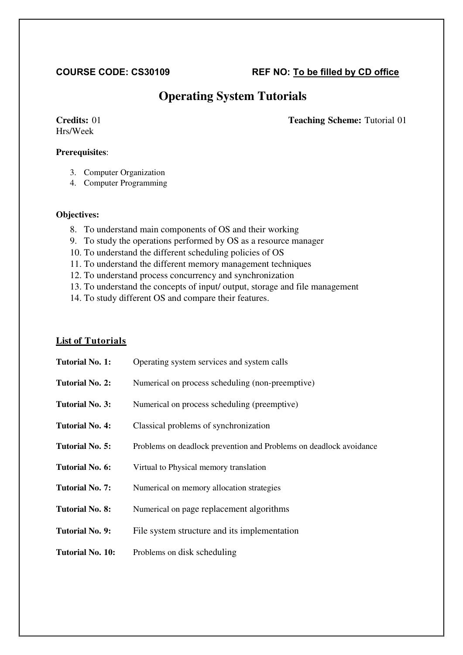# **COURSE CODE: CS30109 REF NO: To be filled by CD office**

# **Operating System Tutorials**

# Hrs/Week

## **Credits:** 01 **Teaching Scheme:** Tutorial 01

# **Prerequisites**:

- 3. Computer Organization
- 4. Computer Programming

### **Objectives:**

- 8. To understand main components of OS and their working
- 9. To study the operations performed by OS as a resource manager
- 10. To understand the different scheduling policies of OS
- 11. To understand the different memory management techniques
- 12. To understand process concurrency and synchronization
- 13. To understand the concepts of input/ output, storage and file management
- 14. To study different OS and compare their features.

# **List of Tutorials**

| <b>Tutorial No. 1:</b>  | Operating system services and system calls                         |
|-------------------------|--------------------------------------------------------------------|
| <b>Tutorial No. 2:</b>  | Numerical on process scheduling (non-preemptive)                   |
| <b>Tutorial No. 3:</b>  | Numerical on process scheduling (preemptive)                       |
| <b>Tutorial No. 4:</b>  | Classical problems of synchronization                              |
| Tutorial No. 5:         | Problems on deadlock prevention and Problems on deadlock avoidance |
| <b>Tutorial No. 6:</b>  | Virtual to Physical memory translation                             |
| <b>Tutorial No. 7:</b>  | Numerical on memory allocation strategies                          |
| <b>Tutorial No. 8:</b>  | Numerical on page replacement algorithms                           |
| Tutorial No. 9:         | File system structure and its implementation                       |
| <b>Tutorial No. 10:</b> | Problems on disk scheduling                                        |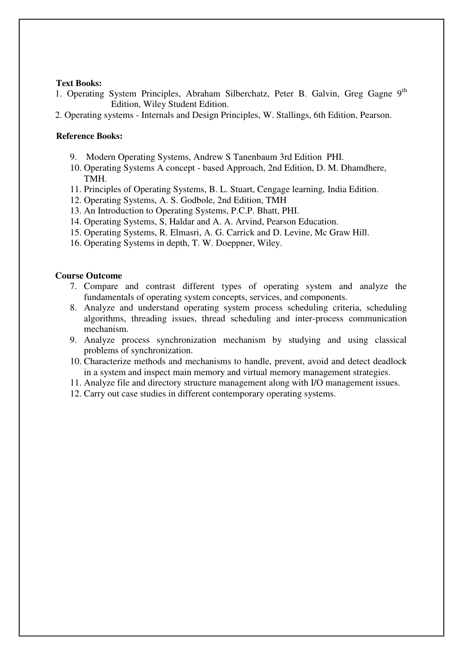#### **Text Books:**

1. Operating System Principles, Abraham Silberchatz, Peter B. Galvin, Greg Gagne 9<sup>th</sup> Edition, Wiley Student Edition.

2. Operating systems - Internals and Design Principles, W. Stallings, 6th Edition, Pearson.

#### **Reference Books:**

- 9. Modern Operating Systems, Andrew S Tanenbaum 3rd Edition PHI.
- 10. Operating Systems A concept based Approach, 2nd Edition, D. M. Dhamdhere, TMH.
- 11. Principles of Operating Systems, B. L. Stuart, Cengage learning, India Edition.
- 12. Operating Systems, A. S. Godbole, 2nd Edition, TMH
- 13. An Introduction to Operating Systems, P.C.P. Bhatt, PHI.
- 14. Operating Systems, S, Haldar and A. A. Arvind, Pearson Education.
- 15. Operating Systems, R. Elmasri, A. G. Carrick and D. Levine, Mc Graw Hill.
- 16. Operating Systems in depth, T. W. Doeppner, Wiley.

#### **Course Outcome**

- 7. Compare and contrast different types of operating system and analyze the fundamentals of operating system concepts, services, and components.
- 8. Analyze and understand operating system process scheduling criteria, scheduling algorithms, threading issues, thread scheduling and inter-process communication mechanism.
- 9. Analyze process synchronization mechanism by studying and using classical problems of synchronization.
- 10. Characterize methods and mechanisms to handle, prevent, avoid and detect deadlock in a system and inspect main memory and virtual memory management strategies.
- 11. Analyze file and directory structure management along with I/O management issues.
- 12. Carry out case studies in different contemporary operating systems.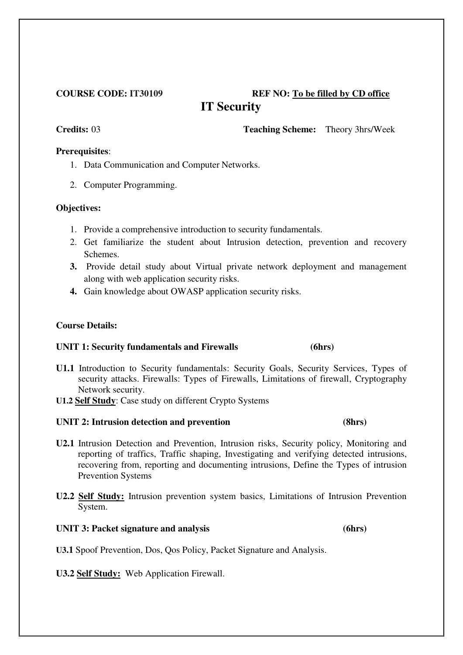# **COURSE CODE: IT30109 REF NO: To be filled by CD office IT Security**

**Credits:** 03 **Teaching Scheme:** Theory 3hrs/Week

# **Prerequisites**:

- 1. Data Communication and Computer Networks.
- 2. Computer Programming.

## **Objectives:**

- 1. Provide a comprehensive introduction to security fundamentals.
- 2. Get familiarize the student about Intrusion detection, prevention and recovery Schemes.
- **3.** Provide detail study about Virtual private network deployment and management along with web application security risks.
- **4.** Gain knowledge about OWASP application security risks.

# **Course Details:**

# **UNIT 1: Security fundamentals and Firewalls (6hrs)**

- **U1.1** Introduction to Security fundamentals: Security Goals, Security Services, Types of security attacks. Firewalls: Types of Firewalls, Limitations of firewall, Cryptography Network security.
- **U1.2 Self Study**: Case study on different Crypto Systems

# **UNIT 2: Intrusion detection and prevention (8hrs)**

- **U2.1** Intrusion Detection and Prevention, Intrusion risks, Security policy, Monitoring and reporting of traffics, Traffic shaping, Investigating and verifying detected intrusions, recovering from, reporting and documenting intrusions, Define the Types of intrusion Prevention Systems
- **U2.2 Self Study:** Intrusion prevention system basics, Limitations of Intrusion Prevention System.

# UNIT 3: Packet signature and analysis (6hrs)

**U3.1** Spoof Prevention, Dos, Qos Policy, Packet Signature and Analysis.

**U3.2 Self Study:** Web Application Firewall.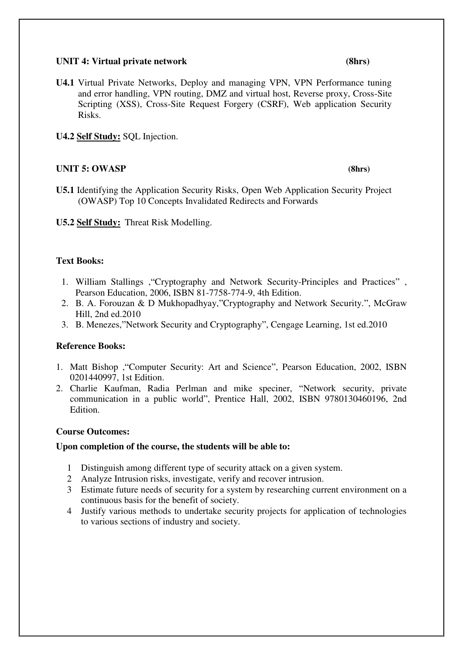## UNIT 4: Virtual private network (8hrs)

**U4.1** Virtual Private Networks, Deploy and managing VPN, VPN Performance tuning and error handling, VPN routing, DMZ and virtual host, Reverse proxy, Cross-Site Scripting (XSS), Cross-Site Request Forgery (CSRF), Web application Security Risks.

**U4.2 Self Study:** SQL Injection.

# **UNIT 5: OWASP (8hrs)**

- **U5.1** Identifying the Application Security Risks, Open Web Application Security Project (OWASP) Top 10 Concepts Invalidated Redirects and Forwards
- **U5.2 Self Study:** Threat Risk Modelling.

# **Text Books:**

- 1. William Stallings ,"Cryptography and Network Security-Principles and Practices" , Pearson Education, 2006, ISBN 81-7758-774-9, 4th Edition.
- 2. B. A. Forouzan & D Mukhopadhyay,"Cryptography and Network Security.", McGraw Hill, 2nd ed.2010
- 3. B. Menezes,"Network Security and Cryptography", Cengage Learning, 1st ed.2010

# **Reference Books:**

- 1. Matt Bishop ,"Computer Security: Art and Science", Pearson Education, 2002, ISBN 0201440997, 1st Edition.
- 2. Charlie Kaufman, Radia Perlman and mike speciner, "Network security, private communication in a public world", Prentice Hall, 2002, ISBN 9780130460196, 2nd Edition.

# **Course Outcomes:**

### **Upon completion of the course, the students will be able to:**

- 1 Distinguish among different type of security attack on a given system.
- 2 Analyze Intrusion risks, investigate, verify and recover intrusion.
- 3 Estimate future needs of security for a system by researching current environment on a continuous basis for the benefit of society.
- 4 Justify various methods to undertake security projects for application of technologies to various sections of industry and society.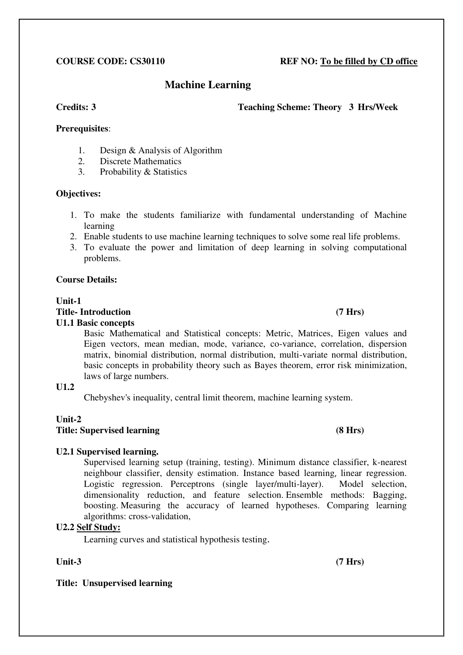# **COURSE CODE: CS30110 REF NO: To be filled by CD office**

# **Machine Learning**

#### **Credits: 3 Teaching Scheme: Theory 3 Hrs/Week**

## **Prerequisites**:

- 1. Design & Analysis of Algorithm
- 2. Discrete Mathematics
- 3. Probability & Statistics

### **Objectives:**

- 1. To make the students familiarize with fundamental understanding of Machine learning
- 2. Enable students to use machine learning techniques to solve some real life problems.
- 3. To evaluate the power and limitation of deep learning in solving computational problems.

## **Course Details:**

# **Unit-1 Title- Introduction (7 Hrs)**

### **U1.1 Basic concepts**

Basic Mathematical and Statistical concepts: Metric, Matrices, Eigen values and Eigen vectors, mean median, mode, variance, co-variance, correlation, dispersion matrix, binomial distribution, normal distribution, multi-variate normal distribution, basic concepts in probability theory such as Bayes theorem, error risk minimization, laws of large numbers.

# **U1.2**

Chebyshev's inequality, central limit theorem, machine learning system.

# **Unit-2**

## **Title: Supervised learning (8 Hrs)**

# **U2.1 Supervised learning.**

Supervised learning setup (training, testing). Minimum distance classifier, k-nearest neighbour classifier, density estimation. Instance based learning, linear regression. Logistic regression. Perceptrons (single layer/multi-layer). Model selection, dimensionality reduction, and feature selection. Ensemble methods: Bagging, boosting. Measuring the accuracy of learned hypotheses. Comparing learning algorithms: cross-validation,

# **U2.2 Self Study:**

Learning curves and statistical hypothesis testing.

Unit-3 (7 Hrs)

# **Title: Unsupervised learning**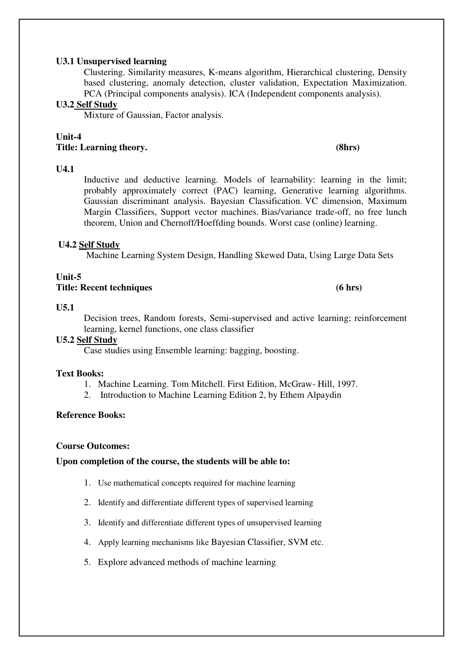#### **U3.1 Unsupervised learning**

Clustering. Similarity measures, K-means algorithm, Hierarchical clustering, Density based clustering, anomaly detection, cluster validation, Expectation Maximization. PCA (Principal components analysis). ICA (Independent components analysis).

#### **U3.2 Self Study**

Mixture of Gaussian, Factor analysis.

### **Unit-4 Title: Learning theory. (8hrs)**

#### **U4.1**

Inductive and deductive learning. Models of learnability: learning in the limit; probably approximately correct (PAC) learning, Generative learning algorithms. Gaussian discriminant analysis. Bayesian Classification. VC dimension, Maximum Margin Classifiers, Support vector machines. Bias/variance trade-off, no free lunch theorem, Union and Chernoff/Hoeffding bounds. Worst case (online) learning.

### **U4.2 Self Study**

Machine Learning System Design, Handling Skewed Data, Using Large Data Sets

#### **Unit-5 Title: Recent techniques (6 hrs)**

#### **U5.1**

Decision trees, Random forests, Semi-supervised and active learning; reinforcement learning, kernel functions, one class classifier

## **U5.2 Self Study**

Case studies using Ensemble learning: bagging, boosting.

### **Text Books:**

- 1. Machine Learning. Tom Mitchell. First Edition, McGraw- Hill, 1997.
- 2. Introduction to Machine Learning Edition 2, by Ethem Alpaydin

### **Reference Books:**

#### **Course Outcomes:**

#### **Upon completion of the course, the students will be able to:**

- 1. Use mathematical concepts required for machine learning
- 2. Identify and differentiate different types of supervised learning
- 3. Identify and differentiate different types of unsupervised learning
- 4. Apply learning mechanisms like Bayesian Classifier, SVM etc.
- 5. Explore advanced methods of machine learning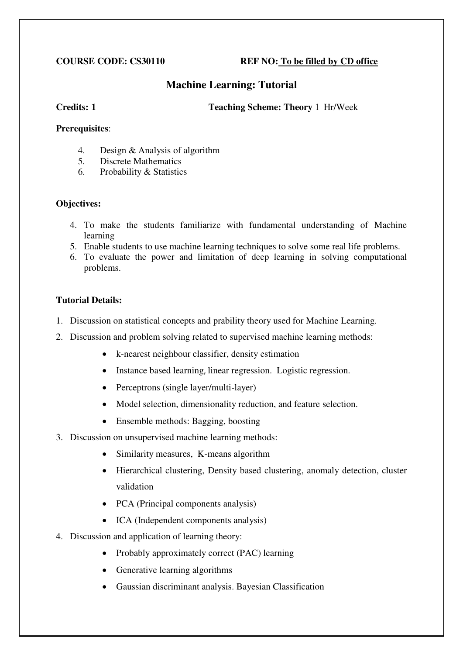## **COURSE CODE: CS30110 REF NO: To be filled by CD office**

# **Machine Learning: Tutorial**

**Credits: 1 Teaching Scheme: Theory** 1 Hr/Week

### **Prerequisites**:

- 4. Design & Analysis of algorithm<br>5. Discrete Mathematics
- 5. Discrete Mathematics
- 6. Probability & Statistics

# **Objectives:**

- 4. To make the students familiarize with fundamental understanding of Machine learning
- 5. Enable students to use machine learning techniques to solve some real life problems.
- 6. To evaluate the power and limitation of deep learning in solving computational problems.

# **Tutorial Details:**

- 1. Discussion on statistical concepts and prability theory used for Machine Learning.
- 2. Discussion and problem solving related to supervised machine learning methods:
	- k-nearest neighbour classifier, density estimation
	- Instance based learning, linear regression. Logistic regression.
	- Perceptrons (single layer/multi-layer)
	- Model selection, dimensionality reduction, and feature selection.
	- Ensemble methods: Bagging, boosting
- 3. Discussion on unsupervised machine learning methods:
	- Similarity measures, K-means algorithm
	- Hierarchical clustering, Density based clustering, anomaly detection, cluster validation
	- PCA (Principal components analysis)
	- ICA (Independent components analysis)
- 4. Discussion and application of learning theory:
	- Probably approximately correct (PAC) learning
	- Generative learning algorithms
	- Gaussian discriminant analysis. Bayesian Classification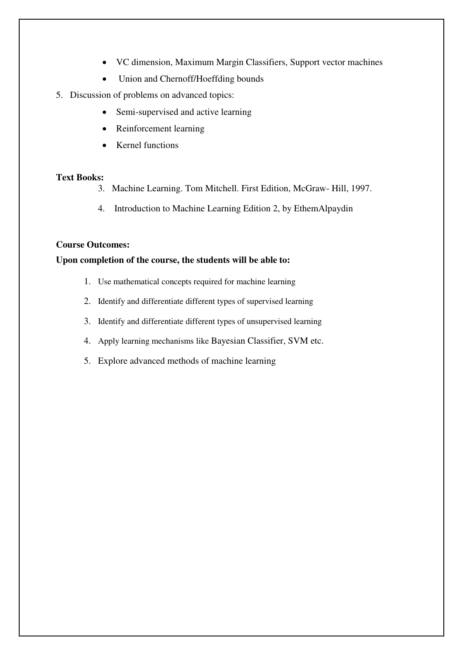- VC dimension, Maximum Margin Classifiers, Support vector machines
- Union and Chernoff/Hoeffding bounds
- 5. Discussion of problems on advanced topics:
	- Semi-supervised and active learning
	- Reinforcement learning
	- Kernel functions

#### **Text Books:**

- 3. Machine Learning. Tom Mitchell. First Edition, McGraw- Hill, 1997.
- 4. Introduction to Machine Learning Edition 2, by EthemAlpaydin

### **Course Outcomes:**

## **Upon completion of the course, the students will be able to:**

- 1. Use mathematical concepts required for machine learning
- 2. Identify and differentiate different types of supervised learning
- 3. Identify and differentiate different types of unsupervised learning
- 4. Apply learning mechanisms like Bayesian Classifier, SVM etc.
- 5. Explore advanced methods of machine learning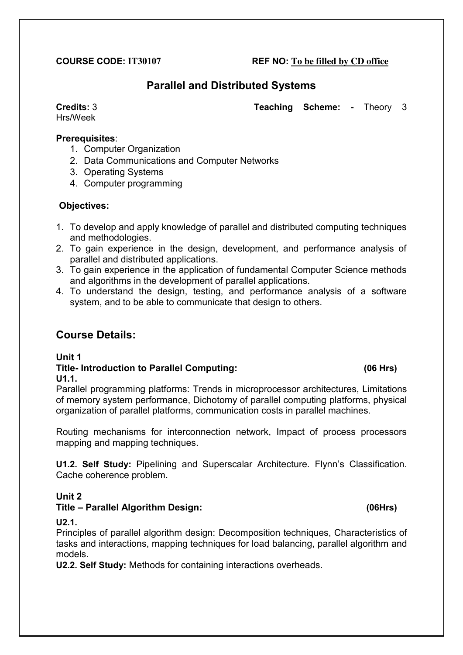# **COURSE CODE: IT30107 REF NO: To be filled by CD office**

# **Parallel and Distributed Systems**

Hrs/Week

# **Prerequisites**:

- 1. Computer Organization
- 2. Data Communications and Computer Networks
- 3. Operating Systems
- 4. Computer programming

# **Objectives:**

- 1. To develop and apply knowledge of parallel and distributed computing techniques and methodologies.
- 2. To gain experience in the design, development, and performance analysis of parallel and distributed applications.
- 3. To gain experience in the application of fundamental Computer Science methods and algorithms in the development of parallel applications.
- 4. To understand the design, testing, and performance analysis of a software system, and to be able to communicate that design to others.

# **Course Details:**

# **Unit 1**

# **Title- Introduction to Parallel Computing: (06 Hrs) U1.1.**

Parallel programming platforms: Trends in microprocessor architectures, Limitations of memory system performance, Dichotomy of parallel computing platforms, physical organization of parallel platforms, communication costs in parallel machines.

Routing mechanisms for interconnection network, Impact of process processors mapping and mapping techniques.

**U1.2. Self Study:** Pipelining and Superscalar Architecture. Flynn's Classification. Cache coherence problem.

# **Unit 2**

# **Title – Parallel Algorithm Design: (06Hrs)**

### **U2.1.**

Principles of parallel algorithm design: Decomposition techniques, Characteristics of tasks and interactions, mapping techniques for load balancing, parallel algorithm and models.

**U2.2. Self Study:** Methods for containing interactions overheads.

**Credits:** 3 **Teaching Scheme: -** Theory 3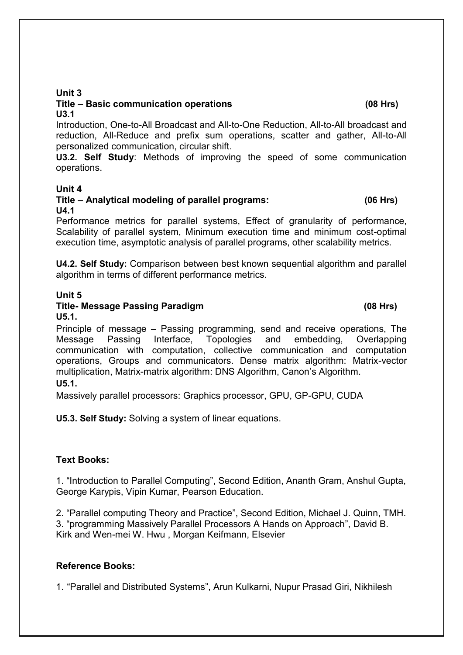# **Unit 3**

#### **Title – Basic communication operations (08 Hrs) U3.1**

Introduction, One-to-All Broadcast and All-to-One Reduction, All-to-All broadcast and reduction, All-Reduce and prefix sum operations, scatter and gather, All-to-All personalized communication, circular shift.

**U3.2. Self Study**: Methods of improving the speed of some communication operations.

## **Unit 4**

# **Title – Analytical modeling of parallel programs: (06 Hrs) U4.1**

Performance metrics for parallel systems, Effect of granularity of performance, Scalability of parallel system, Minimum execution time and minimum cost-optimal execution time, asymptotic analysis of parallel programs, other scalability metrics.

**U4.2. Self Study:** Comparison between best known sequential algorithm and parallel algorithm in terms of different performance metrics.

## **Unit 5**

# **Title- Message Passing Paradigm (08 Hrs)**

**U5.1.**  Principle of message – Passing programming, send and receive operations, The Message Passing Interface, Topologies and embedding, Overlapping communication with computation, collective communication and computation operations, Groups and communicators. Dense matrix algorithm: Matrix-vector multiplication, Matrix-matrix algorithm: DNS Algorithm, Canon's Algorithm.

# **U5.1.**

Massively parallel processors: Graphics processor, GPU, GP-GPU, CUDA

**U5.3. Self Study:** Solving a system of linear equations.

# **Text Books:**

1. "Introduction to Parallel Computing", Second Edition, Ananth Gram, Anshul Gupta, George Karypis, Vipin Kumar, Pearson Education.

2. "Parallel computing Theory and Practice", Second Edition, Michael J. Quinn, TMH. 3. "programming Massively Parallel Processors A Hands on Approach", David B. Kirk and Wen-mei W. Hwu , Morgan Keifmann, Elsevier

# **Reference Books:**

1. "Parallel and Distributed Systems", [Arun Kulkarni,](http://www.amazon.in/s/ref=dp_byline_sr_book_1?ie=UTF8&field-author=Arun+Kulkarni&search-alias=stripbooks) [Nupur Prasad Giri,](http://www.amazon.in/s/ref=dp_byline_sr_book_2?ie=UTF8&field-author=Nupur+Prasad+Giri&search-alias=stripbooks) [Nikhilesh](http://www.amazon.in/s/ref=dp_byline_sr_book_3?ie=UTF8&field-author=Nikhilesh+Joshi&search-alias=stripbooks)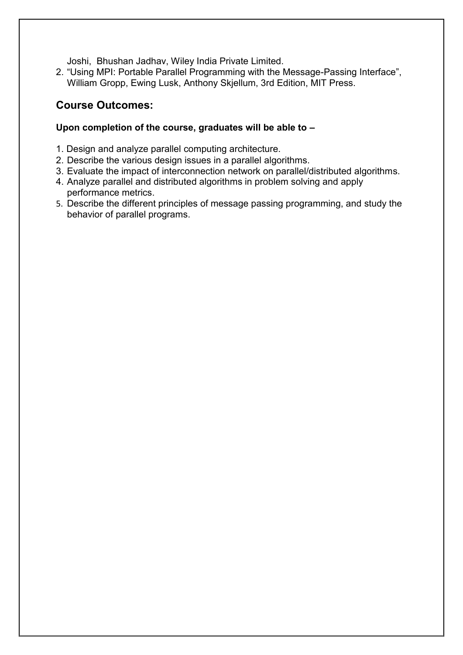[Joshi,](http://www.amazon.in/s/ref=dp_byline_sr_book_3?ie=UTF8&field-author=Nikhilesh+Joshi&search-alias=stripbooks) [Bhushan Jadhav,](http://www.amazon.in/s/ref=dp_byline_sr_book_4?ie=UTF8&field-author=Bhushan+Jadhav&search-alias=stripbooks) Wiley India Private Limited.

2. "Using MPI: Portable Parallel Programming with the Message-Passing Interface", William Gropp, Ewing Lusk, Anthony Skjellum, 3rd Edition, MIT Press.

# **Course Outcomes:**

# **Upon completion of the course, graduates will be able to –**

- 1. Design and analyze parallel computing architecture.
- 2. Describe the various design issues in a parallel algorithms.
- 3. Evaluate the impact of interconnection network on parallel/distributed algorithms.
- 4. Analyze parallel and distributed algorithms in problem solving and apply performance metrics.
- 5. Describe the different principles of message passing programming, and study the behavior of parallel programs.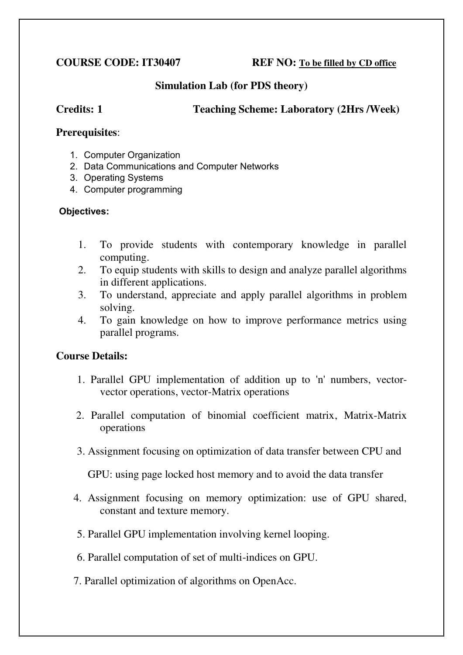**COURSE CODE: IT30407 REF NO: To be filled by CD office**

# **Simulation Lab (for PDS theory)**

# **Credits: 1 Teaching Scheme: Laboratory (2Hrs /Week)**

# **Prerequisites**:

- 1. Computer Organization
- 2. Data Communications and Computer Networks
- 3. Operating Systems
- 4. Computer programming

# **Objectives:**

- 1. To provide students with contemporary knowledge in parallel computing.
- 2. To equip students with skills to design and analyze parallel algorithms in different applications.
- 3. To understand, appreciate and apply parallel algorithms in problem solving.
- 4. To gain knowledge on how to improve performance metrics using parallel programs.

# **Course Details:**

- 1. Parallel GPU implementation of addition up to 'n' numbers, vectorvector operations, vector-Matrix operations
- 2. Parallel computation of binomial coefficient matrix, Matrix-Matrix operations
- 3. Assignment focusing on optimization of data transfer between CPU and

GPU: using page locked host memory and to avoid the data transfer

- 4. Assignment focusing on memory optimization: use of GPU shared, constant and texture memory.
- 5. Parallel GPU implementation involving kernel looping.
- 6. Parallel computation of set of multi-indices on GPU.
- 7. Parallel optimization of algorithms on OpenAcc.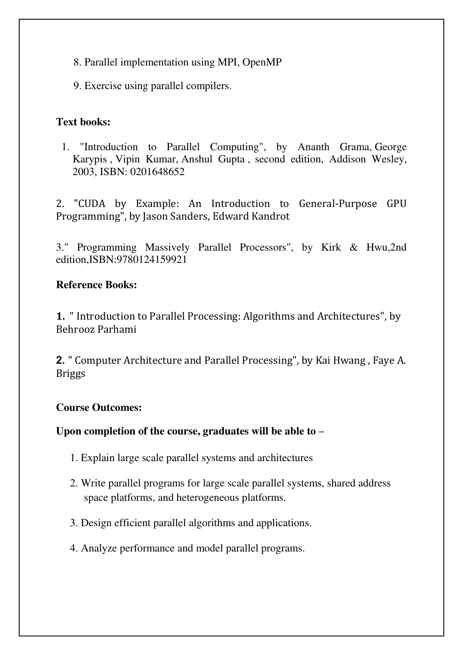- 8. Parallel implementation using MPI, OpenMP
- 9. Exercise using parallel compilers.

# **Text books:**

1. "Introduction to Parallel Computing", by [Ananth Grama,](http://www.amazon.in/s/ref=dp_byline_sr_book_1?ie=UTF8&field-author=Ananth+Grama&search-alias=stripbooks) [George](http://www.amazon.in/George-Karypis/e/B00P5J8OFE/ref=dp_byline_cont_book_2)  [Karypis](http://www.amazon.in/George-Karypis/e/B00P5J8OFE/ref=dp_byline_cont_book_2) , [Vipin Kumar,](http://www.amazon.in/Vipin-Kumar/e/B00OPOLJQ6/ref=dp_byline_cont_book_3) [Anshul Gupta](http://www.amazon.in/s/ref=dp_byline_sr_book_4?ie=UTF8&field-author=Anshul+Gupta&search-alias=stripbooks) , second edition, Addison Wesley, 2003, ISBN: 0201648652

2. "CUDA by Example: An Introduction to General-Purpose GPU Programming", by Jason Sanders, Edward Kandrot

3." Programming Massively Parallel Processors", by Kirk & Hwu,2nd edition,ISBN:9780124159921

# **Reference Books:**

**1.** " Introduction to Parallel Processing: Algorithms and Architectures", by [Behrooz Parhami](http://www.amazon.in/Behrooz-Parhami/e/B001HCXTGM/ref=dp_byline_cont_book_1)

**2.** " Computer Architecture and Parallel Processing", by [Kai Hwang](http://www.amazon.in/s/ref=dp_byline_sr_book_1?ie=UTF8&field-author=Kai+Hwang&search-alias=stripbooks) , [Faye A.](http://www.amazon.in/s/ref=dp_byline_sr_book_2?ie=UTF8&field-author=Faye+A.+Briggs&search-alias=stripbooks)  [Briggs](http://www.amazon.in/s/ref=dp_byline_sr_book_2?ie=UTF8&field-author=Faye+A.+Briggs&search-alias=stripbooks)

# **Course Outcomes:**

# **Upon completion of the course, graduates will be able to –**

- 1. Explain large scale parallel systems and architectures
- 2. Write parallel programs for large scale parallel systems, shared address space platforms, and heterogeneous platforms.
- 3. Design efficient parallel algorithms and applications.
- 4. Analyze performance and model parallel programs.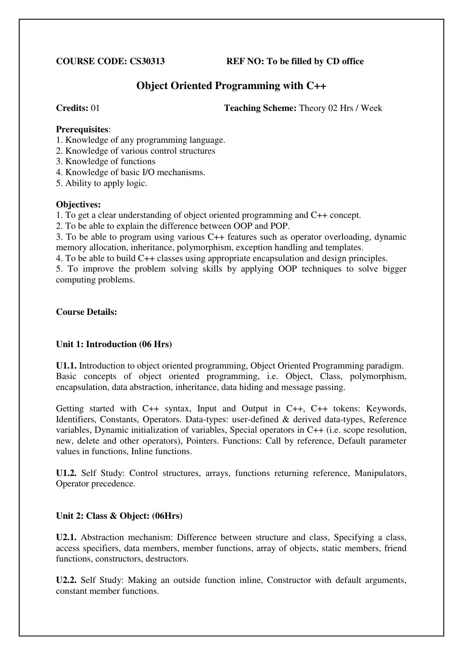**COURSE CODE: CS30313 REF NO: To be filled by CD office** 

# **Object Oriented Programming with C++**

**Credits:** 01 **Teaching Scheme:** Theory 02 Hrs / Week

### **Prerequisites**:

- 1. Knowledge of any programming language.
- 2. Knowledge of various control structures
- 3. Knowledge of functions
- 4. Knowledge of basic I/O mechanisms.
- 5. Ability to apply logic.

## **Objectives:**

1. To get a clear understanding of object oriented programming and C++ concept.

2. To be able to explain the difference between OOP and POP.

3. To be able to program using various C++ features such as operator overloading, dynamic memory allocation, inheritance, polymorphism, exception handling and templates.

4. To be able to build C++ classes using appropriate encapsulation and design principles.

5. To improve the problem solving skills by applying OOP techniques to solve bigger computing problems.

## **Course Details:**

# **Unit 1: Introduction (06 Hrs)**

**U1.1.** Introduction to object oriented programming, Object Oriented Programming paradigm. Basic concepts of object oriented programming, i.e. Object, Class, polymorphism, encapsulation, data abstraction, inheritance, data hiding and message passing.

Getting started with C++ syntax, Input and Output in C++, C++ tokens: Keywords, Identifiers, Constants, Operators. Data-types: user-defined & derived data-types, Reference variables, Dynamic initialization of variables, Special operators in C++ (i.e. scope resolution, new, delete and other operators), Pointers. Functions: Call by reference, Default parameter values in functions, Inline functions.

**U1.2.** Self Study: Control structures, arrays, functions returning reference, Manipulators, Operator precedence.

# **Unit 2: Class & Object: (06Hrs)**

**U2.1.** Abstraction mechanism: Difference between structure and class, Specifying a class, access specifiers, data members, member functions, array of objects, static members, friend functions, constructors, destructors.

**U2.2.** Self Study: Making an outside function inline, Constructor with default arguments, constant member functions.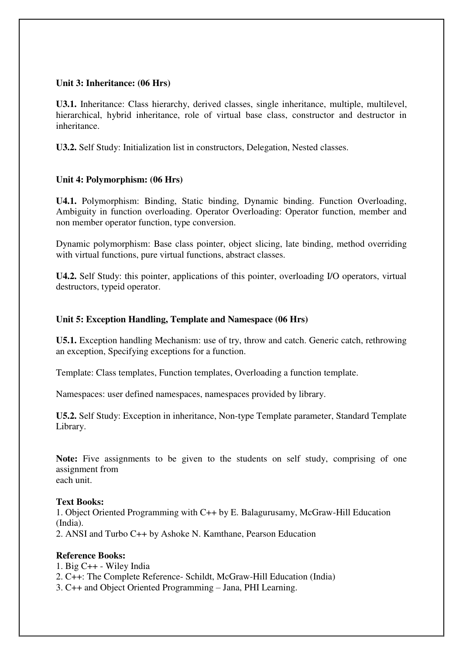## **Unit 3: Inheritance: (06 Hrs)**

**U3.1.** Inheritance: Class hierarchy, derived classes, single inheritance, multiple, multilevel, hierarchical, hybrid inheritance, role of virtual base class, constructor and destructor in inheritance.

**U3.2.** Self Study: Initialization list in constructors, Delegation, Nested classes.

# **Unit 4: Polymorphism: (06 Hrs)**

**U4.1.** Polymorphism: Binding, Static binding, Dynamic binding. Function Overloading, Ambiguity in function overloading. Operator Overloading: Operator function, member and non member operator function, type conversion.

Dynamic polymorphism: Base class pointer, object slicing, late binding, method overriding with virtual functions, pure virtual functions, abstract classes.

**U4.2.** Self Study: this pointer, applications of this pointer, overloading I/O operators, virtual destructors, typeid operator.

### **Unit 5: Exception Handling, Template and Namespace (06 Hrs)**

**U5.1.** Exception handling Mechanism: use of try, throw and catch. Generic catch, rethrowing an exception, Specifying exceptions for a function.

Template: Class templates, Function templates, Overloading a function template.

Namespaces: user defined namespaces, namespaces provided by library.

**U5.2.** Self Study: Exception in inheritance, Non-type Template parameter, Standard Template Library.

Note: Five assignments to be given to the students on self study, comprising of one assignment from each unit.

### **Text Books:**

1. Object Oriented Programming with C++ by E. Balagurusamy, McGraw-Hill Education (India).

2. ANSI and Turbo C++ by Ashoke N. Kamthane, Pearson Education

### **Reference Books:**

- 1. Big C++ Wiley India
- 2. C++: The Complete Reference- Schildt, McGraw-Hill Education (India)
- 3. C++ and Object Oriented Programming Jana, PHI Learning.